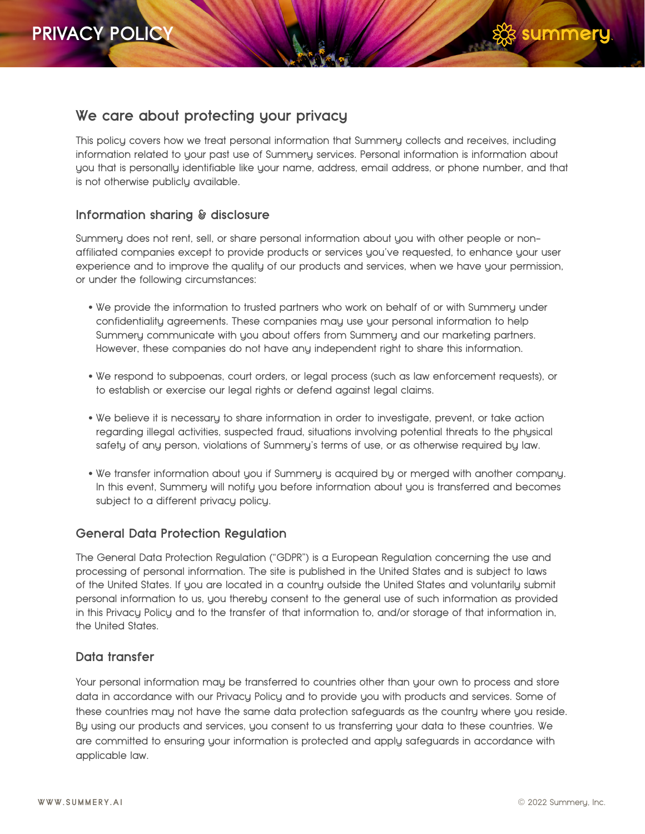

# **We care about protecting your privacy**

This policy covers how we treat personal information that Summery collects and receives, including information related to your past use of Summery services. Personal information is information about you that is personally identifiable like your name, address, email address, or phone number, and that is not otherwise publicly available.

# **Information sharing & disclosure**

Summery does not rent, sell, or share personal information about you with other people or nonaffiliated companies except to provide products or services you've requested, to enhance your user experience and to improve the quality of our products and services, when we have your permission, or under the following circumstances:

- We provide the information to trusted partners who work on behalf of or with Summery under confidentiality agreements. These companies may use your personal information to help Summery communicate with you about offers from Summery and our marketing partners. However, these companies do not have any independent right to share this information.
- We respond to subpoenas, court orders, or legal process (such as law enforcement requests), or to establish or exercise our legal rights or defend against legal claims.
- We believe it is necessary to share information in order to investigate, prevent, or take action regarding illegal activities, suspected fraud, situations involving potential threats to the physical safety of any person, violations of Summery's terms of use, or as otherwise required by law.
- We transfer information about you if Summery is acquired by or merged with another company. In this event, Summery will notify you before information about you is transferred and becomes subject to a different privacy policy.

# **General Data Protection Regulation**

The General Data Protection Regulation ("GDPR") is a European Regulation concerning the use and processing of personal information. The site is published in the United States and is subject to laws of the United States. If you are located in a country outside the United States and voluntarily submit personal information to us, you thereby consent to the general use of such information as provided in this Privacy Policy and to the transfer of that information to, and/or storage of that information in, the United States.

# **Data transfer**

Your personal information may be transferred to countries other than your own to process and store data in accordance with our Privacy Policy and to provide you with products and services. Some of these countries may not have the same data protection safeguards as the country where you reside. By using our products and services, you consent to us transferring your data to these countries. We are committed to ensuring your information is protected and apply safeguards in accordance with applicable law.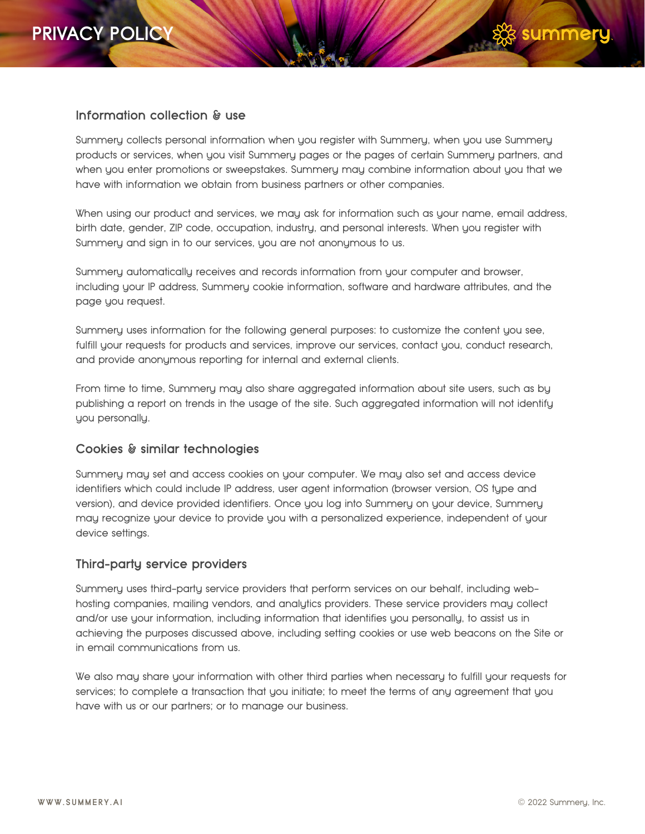### **Information collection & use**

Summery collects personal information when you register with Summery, when you use Summery products or services, when you visit Summery pages or the pages of certain Summery partners, and when you enter promotions or sweepstakes. Summery may combine information about you that we have with information we obtain from business partners or other companies.

When using our product and services, we may ask for information such as your name, email address, birth date, gender, ZIP code, occupation, industry, and personal interests. When you register with Summery and sign in to our services, you are not anonymous to us.

Summery automatically receives and records information from your computer and browser, including your IP address, Summery cookie information, software and hardware attributes, and the page you request.

Summery uses information for the following general purposes: to customize the content you see, fulfill your requests for products and services, improve our services, contact you, conduct research, and provide anonymous reporting for internal and external clients.

From time to time, Summery may also share aggregated information about site users, such as by publishing a report on trends in the usage of the site. Such aggregated information will not identify you personally.

# **Cookies & similar technologies**

Summery may set and access cookies on your computer. We may also set and access device identifiers which could include IP address, user agent information (browser version, OS type and version), and device provided identifiers. Once you log into Summery on your device, Summery may recognize your device to provide you with a personalized experience, independent of your device settings.

#### **Third-party service providers**

Summery uses third-party service providers that perform services on our behalf, including webhosting companies, mailing vendors, and analytics providers. These service providers may collect and/or use your information, including information that identifies you personally, to assist us in achieving the purposes discussed above, including setting cookies or use web beacons on the Site or in email communications from us.

We also may share your information with other third parties when necessary to fulfill your requests for services; to complete a transaction that you initiate; to meet the terms of any agreement that you have with us or our partners; or to manage our business.